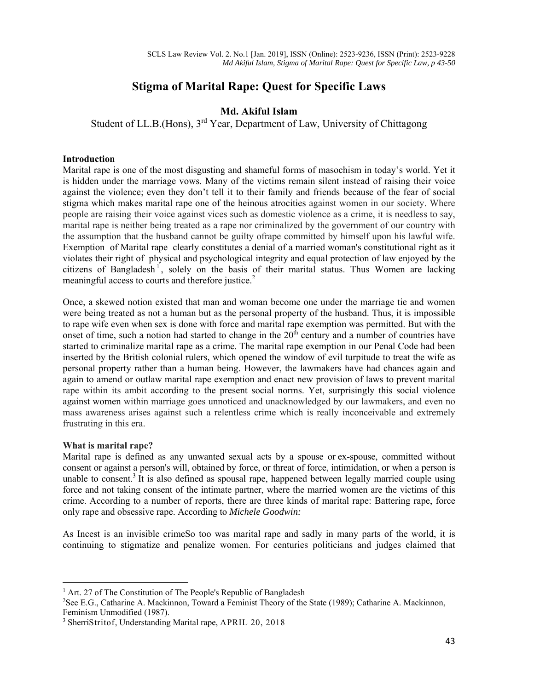# **Stigma of Marital Rape: Quest for Specific Laws**

# **Md. Akiful Islam**

Student of LL.B.(Hons), 3<sup>rd</sup> Year, Department of Law, University of Chittagong

### **Introduction**

Marital rape is one of the most disgusting and shameful forms of masochism in today's world. Yet it is hidden under the marriage vows. Many of the victims remain silent instead of raising their voice against the violence; even they don't tell it to their family and friends because of the fear of social stigma which makes marital rape one of the heinous atrocities against women in our society. Where people are raising their voice against vices such as domestic violence as a crime, it is needless to say, marital rape is neither being treated as a rape nor criminalized by the government of our country with the assumption that the husband cannot be guilty ofrape committed by himself upon his lawful wife. Exemption of Marital rape clearly constitutes a denial of a married woman's constitutional right as it violates their right of physical and psychological integrity and equal protection of law enjoyed by the citizens of Bangladesh<sup>1</sup>, solely on the basis of their marital status. Thus Women are lacking meaningful access to courts and therefore justice.<sup>2</sup>

Once, a skewed notion existed that man and woman become one under the marriage tie and women were being treated as not a human but as the personal property of the husband. Thus, it is impossible to rape wife even when sex is done with force and marital rape exemption was permitted. But with the onset of time, such a notion had started to change in the  $20<sup>th</sup>$  century and a number of countries have started to criminalize marital rape as a crime. The marital rape exemption in our Penal Code had been inserted by the British colonial rulers, which opened the window of evil turpitude to treat the wife as personal property rather than a human being. However, the lawmakers have had chances again and again to amend or outlaw marital rape exemption and enact new provision of laws to prevent marital rape within its ambit according to the present social norms. Yet, surprisingly this social violence against women within marriage goes unnoticed and unacknowledged by our lawmakers, and even no mass awareness arises against such a relentless crime which is really inconceivable and extremely frustrating in this era.

# **What is marital rape?**

Marital rape is defined as any unwanted sexual acts by a spouse or ex-spouse, committed without consent or against a person's will, obtained by force, or threat of force, intimidation, or when a person is unable to consent.<sup>3</sup> It is also defined as spousal rape, happened between legally married couple using force and not taking consent of the intimate partner, where the married women are the victims of this crime. According to a number of reports, there are three kinds of marital rape: Battering rape, force only rape and obsessive rape. According to *Michele Goodwin:* 

As Incest is an invisible crimeSo too was marital rape and sadly in many parts of the world, it is continuing to stigmatize and penalize women. For centuries politicians and judges claimed that

<sup>&</sup>lt;sup>1</sup> Art. 27 of The Constitution of The People's Republic of Bangladesh <sup>2</sup>See E.G., Catharine A. Mackinnon, Toward a Feminist Theory of the

<sup>&</sup>lt;sup>2</sup>See E.G., Catharine A. Mackinnon, Toward a Feminist Theory of the State (1989); Catharine A. Mackinnon, Feminism Unmodified (1987).

<sup>3</sup> SherriStritof, Understanding Marital rape, APRIL 20, 2018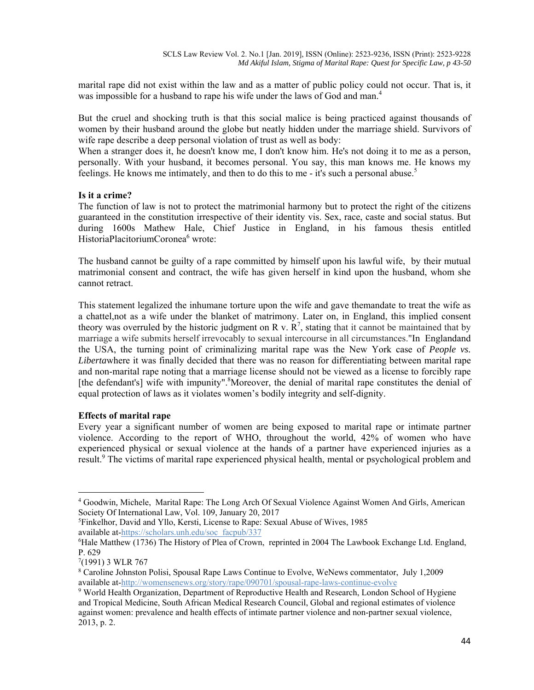marital rape did not exist within the law and as a matter of public policy could not occur. That is, it was impossible for a husband to rape his wife under the laws of God and man.<sup>4</sup>

But the cruel and shocking truth is that this social malice is being practiced against thousands of women by their husband around the globe but neatly hidden under the marriage shield. Survivors of wife rape describe a deep personal violation of trust as well as body:

When a stranger does it, he doesn't know me, I don't know him. He's not doing it to me as a person, personally. With your husband, it becomes personal. You say, this man knows me. He knows my feelings. He knows me intimately, and then to do this to me - it's such a personal abuse.<sup>5</sup>

#### **Is it a crime?**

The function of law is not to protect the matrimonial harmony but to protect the right of the citizens guaranteed in the constitution irrespective of their identity vis. Sex, race, caste and social status. But during 1600s Mathew Hale, Chief Justice in England, in his famous thesis entitled HistoriaPlacitoriumCoronea<sup>6</sup> wrote:

The husband cannot be guilty of a rape committed by himself upon his lawful wife, by their mutual matrimonial consent and contract, the wife has given herself in kind upon the husband, whom she cannot retract.

This statement legalized the inhumane torture upon the wife and gave themandate to treat the wife as a chattel,not as a wife under the blanket of matrimony. Later on, in England, this implied consent theory was overruled by the historic judgment on R v.  $R^7$ , stating that it cannot be maintained that by marriage a wife submits herself irrevocably to sexual intercourse in all circumstances."In Englandand the USA, the turning point of criminalizing marital rape was the New York case of *People vs. Liberta*where it was finally decided that there was no reason for differentiating between marital rape and non-marital rape noting that a marriage license should not be viewed as a license to forcibly rape [the defendant's] wife with impunity". <sup>8</sup>Moreover, the denial of marital rape constitutes the denial of equal protection of laws as it violates women's bodily integrity and self-dignity.

#### **Effects of marital rape**

Every year a significant number of women are being exposed to marital rape or intimate partner violence. According to the report of WHO, throughout the world, 42% of women who have experienced physical or sexual violence at the hands of a partner have experienced injuries as a result.<sup>9</sup> The victims of marital rape experienced physical health, mental or psychological problem and

<sup>4</sup> Goodwin*,* Michele, Marital Rape: The Long Arch Of Sexual Violence Against Women And Girls, American Society Of International Law, Vol. 109, January 20, 2017

<sup>5</sup> Finkelhor, David and Yllo, Kersti, License to Rape: Sexual Abuse of Wives, 1985 available at-https://scholars.unh.edu/soc\_facpub/337

<sup>6</sup> Hale Matthew (1736) The History of Plea of Crown, reprinted in 2004 The Lawbook Exchange Ltd. England, P. 629

<sup>7</sup> (1991) 3 WLR 767

<sup>8</sup> Caroline Johnston Polisi, Spousal Rape Laws Continue to Evolve, WeNews commentator, July 1,2009 available at-http://womensenews.org/story/rape/090701/spousal-rape-laws-continue-evolve

<sup>9</sup> World Health Organization, Department of Reproductive Health and Research, London School of Hygiene and Tropical Medicine, South African Medical Research Council, Global and regional estimates of violence against women: prevalence and health effects of intimate partner violence and non-partner sexual violence, 2013, p. 2.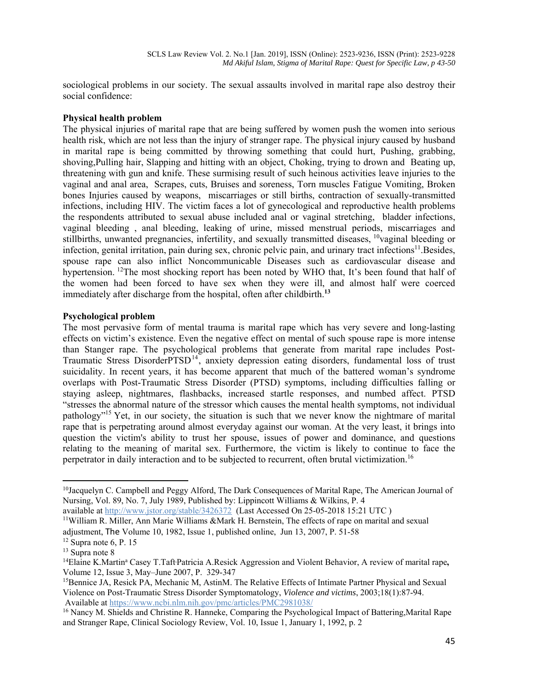sociological problems in our society. The sexual assaults involved in marital rape also destroy their social confidence:

#### **Physical health problem**

The physical injuries of marital rape that are being suffered by women push the women into serious health risk, which are not less than the injury of stranger rape. The physical injury caused by husband in marital rape is being committed by throwing something that could hurt, Pushing, grabbing, shoving,Pulling hair, Slapping and hitting with an object, Choking, trying to drown and Beating up, threatening with gun and knife. These surmising result of such heinous activities leave injuries to the vaginal and anal area, Scrapes, cuts, Bruises and soreness, Torn muscles Fatigue Vomiting, Broken bones Injuries caused by weapons, miscarriages or still births, contraction of sexually-transmitted infections, including HIV. The victim faces a lot of gynecological and reproductive health problems the respondents attributed to sexual abuse included anal or vaginal stretching, bladder infections, vaginal bleeding , anal bleeding, leaking of urine, missed menstrual periods, miscarriages and stillbirths, unwanted pregnancies, infertility, and sexually transmitted diseases, <sup>10</sup>vaginal bleeding or infection, genital irritation, pain during sex, chronic pelvic pain, and urinary tract infections<sup>11</sup>. Besides, spouse rape can also inflict Noncommunicable Diseases such as cardiovascular disease and hypertension. <sup>12</sup>The most shocking report has been noted by WHO that, It's been found that half of the women had been forced to have sex when they were ill, and almost half were coerced immediately after discharge from the hospital, often after childbirth.**<sup>13</sup>**

#### **Psychological problem**

The most pervasive form of mental trauma is marital rape which has very severe and long-lasting effects on victim's existence. Even the negative effect on mental of such spouse rape is more intense than Stanger rape. The psychological problems that generate from marital rape includes Post-Traumatic Stress DisorderPTSD<sup>14</sup>, anxiety depression eating disorders, fundamental loss of trust suicidality. In recent years, it has become apparent that much of the battered woman's syndrome overlaps with Post-Traumatic Stress Disorder (PTSD) symptoms, including difficulties falling or staying asleep, nightmares, flashbacks, increased startle responses, and numbed affect. PTSD "stresses the abnormal nature of the stressor which causes the mental health symptoms, not individual pathology"15 Yet, in our society, the situation is such that we never know the nightmare of marital rape that is perpetrating around almost everyday against our woman. At the very least, it brings into question the victim's ability to trust her spouse, issues of power and dominance, and questions relating to the meaning of marital sex. Furthermore, the victim is likely to continue to face the perpetrator in daily interaction and to be subjected to recurrent, often brutal victimization.16

<sup>10</sup>Jacquelyn C. Campbell and Peggy Alford, The Dark Consequences of Marital Rape, The American Journal of Nursing, Vol. 89, No. 7, July 1989, Published by: Lippincott Williams & Wilkins, P. 4

available at http://www.jstor.org/stable/3426372 (Last Accessed On 25-05-2018 15:21 UTC ) <sup>11</sup>William R. Miller, Ann Marie Williams &Mark H. Bernstein, The effects of rape on marital and sexual

adjustment, The Volume 10, 1982, Issue 1, published online, Jun 13, 2007, P. 51-58 12 Supra note 6, P. 15

 $13$  Supra note 8

<sup>&</sup>lt;sup>14</sup>Elaine K.Martin<sup>a</sup> Casey T.TaftPatricia A.Resick Aggression and Violent Behavior, A review of marital rape, Volume 12, Issue 3, May–June 2007, P. 329-347

<sup>&</sup>lt;sup>15</sup>Bennice JA, Resick PA, Mechanic M, AstinM. The Relative Effects of Intimate Partner Physical and Sexual Violence on Post-Traumatic Stress Disorder Symptomatology, *Violence and victims*, 2003;18(1):87-94. Available at https://www.ncbi.nlm.nih.gov/pmc/articles/PMC2981038/

<sup>&</sup>lt;sup>16</sup> Nancy M. Shields and Christine R. Hanneke, Comparing the Psychological Impact of Battering, Marital Rape and Stranger Rape, Clinical Sociology Review, Vol. 10, Issue 1, January 1, 1992, p. 2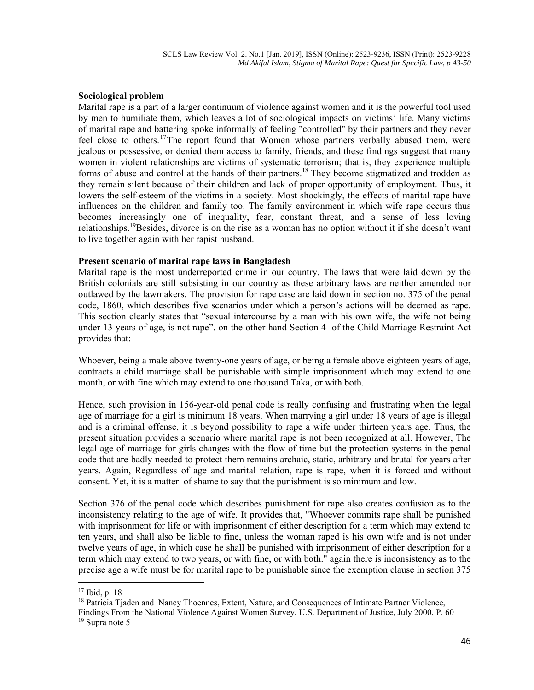#### **Sociological problem**

Marital rape is a part of a larger continuum of violence against women and it is the powerful tool used by men to humiliate them, which leaves a lot of sociological impacts on victims' life. Many victims of marital rape and battering spoke informally of feeling "controlled" by their partners and they never feel close to others.<sup>17</sup>The report found that Women whose partners verbally abused them, were jealous or possessive, or denied them access to family, friends, and these findings suggest that many women in violent relationships are victims of systematic terrorism; that is, they experience multiple forms of abuse and control at the hands of their partners.<sup>18</sup> They become stigmatized and trodden as they remain silent because of their children and lack of proper opportunity of employment. Thus, it lowers the self-esteem of the victims in a society. Most shockingly, the effects of marital rape have influences on the children and family too. The family environment in which wife rape occurs thus becomes increasingly one of inequality, fear, constant threat, and a sense of less loving relationships.<sup>19</sup>Besides, divorce is on the rise as a woman has no option without it if she doesn't want to live together again with her rapist husband.

#### **Present scenario of marital rape laws in Bangladesh**

Marital rape is the most underreported crime in our country. The laws that were laid down by the British colonials are still subsisting in our country as these arbitrary laws are neither amended nor outlawed by the lawmakers. The provision for rape case are laid down in section no. 375 of the penal code, 1860, which describes five scenarios under which a person's actions will be deemed as rape. This section clearly states that "sexual intercourse by a man with his own wife, the wife not being under 13 years of age, is not rape". on the other hand Section 4 of the Child Marriage Restraint Act provides that:

Whoever, being a male above twenty-one years of age, or being a female above eighteen years of age, contracts a child marriage shall be punishable with simple imprisonment which may extend to one month, or with fine which may extend to one thousand Taka, or with both.

Hence, such provision in 156-year-old penal code is really confusing and frustrating when the legal age of marriage for a girl is minimum 18 years. When marrying a girl under 18 years of age is illegal and is a criminal offense, it is beyond possibility to rape a wife under thirteen years age. Thus, the present situation provides a scenario where marital rape is not been recognized at all. However, The legal age of marriage for girls changes with the flow of time but the protection systems in the penal code that are badly needed to protect them remains archaic, static, arbitrary and brutal for years after years. Again, Regardless of age and marital relation, rape is rape, when it is forced and without consent. Yet, it is a matter of shame to say that the punishment is so minimum and low.

Section 376 of the penal code which describes punishment for rape also creates confusion as to the inconsistency relating to the age of wife. It provides that, "Whoever commits rape shall be punished with imprisonment for life or with imprisonment of either description for a term which may extend to ten years, and shall also be liable to fine, unless the woman raped is his own wife and is not under twelve years of age, in which case he shall be punished with imprisonment of either description for a term which may extend to two years, or with fine, or with both." again there is inconsistency as to the precise age a wife must be for marital rape to be punishable since the exemption clause in section 375

<sup>17</sup> Ibid, p. 18

<sup>&</sup>lt;sup>18</sup> Patricia Tjaden and Nancy Thoennes, Extent, Nature, and Consequences of Intimate Partner Violence, Findings From the National Violence Against Women Survey, U.S. Department of Justice, July 2000, P. 60 19 Supra note 5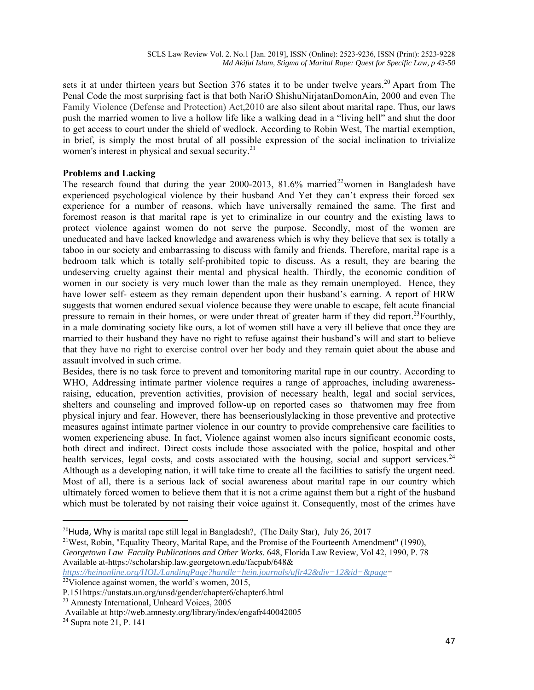sets it at under thirteen years but Section 376 states it to be under twelve years.<sup>20</sup> Apart from The Penal Code the most surprising fact is that both NariO ShishuNirjatanDomonAin, 2000 and even The Family Violence (Defense and Protection) Act,2010 are also silent about marital rape. Thus, our laws push the married women to live a hollow life like a walking dead in a "living hell" and shut the door to get access to court under the shield of wedlock. According to Robin West, The martial exemption, in brief, is simply the most brutal of all possible expression of the social inclination to trivialize women's interest in physical and sexual security.<sup>21</sup>

### **Problems and Lacking**

The research found that during the year 2000-2013, 81.6% married<sup>22</sup>women in Bangladesh have experienced psychological violence by their husband And Yet they can't express their forced sex experience for a number of reasons, which have universally remained the same. The first and foremost reason is that marital rape is yet to criminalize in our country and the existing laws to protect violence against women do not serve the purpose. Secondly, most of the women are uneducated and have lacked knowledge and awareness which is why they believe that sex is totally a taboo in our society and embarrassing to discuss with family and friends. Therefore, marital rape is a bedroom talk which is totally self-prohibited topic to discuss. As a result, they are bearing the undeserving cruelty against their mental and physical health. Thirdly, the economic condition of women in our society is very much lower than the male as they remain unemployed. Hence, they have lower self- esteem as they remain dependent upon their husband's earning. A report of HRW suggests that women endured sexual violence because they were unable to escape, felt acute financial pressure to remain in their homes, or were under threat of greater harm if they did report.<sup>23</sup>Fourthly, in a male dominating society like ours, a lot of women still have a very ill believe that once they are married to their husband they have no right to refuse against their husband's will and start to believe that they have no right to exercise control over her body and they remain quiet about the abuse and assault involved in such crime.

Besides, there is no task force to prevent and tomonitoring marital rape in our country. According to WHO, Addressing intimate partner violence requires a range of approaches, including awarenessraising, education, prevention activities, provision of necessary health, legal and social services, shelters and counseling and improved follow-up on reported cases so thatwomen may free from physical injury and fear. However, there has beenseriouslylacking in those preventive and protective measures against intimate partner violence in our country to provide comprehensive care facilities to women experiencing abuse. In fact, Violence against women also incurs significant economic costs, both direct and indirect. Direct costs include those associated with the police, hospital and other health services, legal costs, and costs associated with the housing, social and support services.<sup>24</sup> Although as a developing nation, it will take time to create all the facilities to satisfy the urgent need. Most of all, there is a serious lack of social awareness about marital rape in our country which ultimately forced women to believe them that it is not a crime against them but a right of the husband which must be tolerated by not raising their voice against it. Consequently, most of the crimes have

<sup>20</sup>Huda, Why is marital rape still legal in Bangladesh?, (The Daily Star), July 26, 2017<br><sup>21</sup>West, Robin, "Equality Theory, Marital Rape, and the Promise of the Fourteenth Amendment" (1990),

*Georgetown Law Faculty Publications and Other Works*. 648, Florida Law Review, Vol 42, 1990, P. 78 Available at-https://scholarship.law.georgetown.edu/facpub/648&

*https://heinonline.org/HOL/LandingPage?handle=hein.journals/uflr42&div=12&id=&page=* 

 $22\overline{V}$ iolence against women, the world's women, 2015,

P.151https://unstats.un.org/unsd/gender/chapter6/chapter6.html

<sup>23</sup> Amnesty International, Unheard Voices, 2005

Available at http://web.amnesty.org/library/index/engafr440042005 24 Supra note 21, P. 141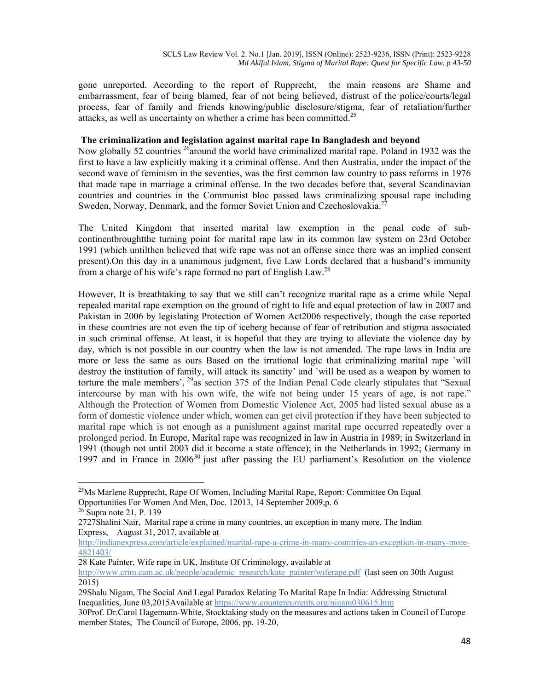gone unreported. According to the report of Rupprecht, the main reasons are Shame and embarrassment, fear of being blamed, fear of not being believed, distrust of the police/courts/legal process, fear of family and friends knowing/public disclosure/stigma, fear of retaliation/further attacks, as well as uncertainty on whether a crime has been committed.<sup>25</sup>

#### **The criminalization and legislation against marital rape In Bangladesh and beyond**

Now globally 52 countries  $^{26}$  around the world have criminalized marital rape. Poland in 1932 was the first to have a law explicitly making it a criminal offense. And then Australia, under the impact of the second wave of feminism in the seventies, was the first common law country to pass reforms in 1976 that made rape in marriage a criminal offense. In the two decades before that, several Scandinavian countries and countries in the Communist bloc passed laws criminalizing spousal rape including Sweden, Norway, Denmark, and the former Soviet Union and Czechoslovakia.<sup>27</sup>

The United Kingdom that inserted marital law exemption in the penal code of subcontinentbroughtthe turning point for marital rape law in its common law system on 23rd October 1991 (which untilthen believed that wife rape was not an offense since there was an implied consent present).On this day in a unanimous judgment, five Law Lords declared that a husband's immunity from a charge of his wife's rape formed no part of English Law.28

However, It is breathtaking to say that we still can't recognize marital rape as a crime while Nepal repealed marital rape exemption on the ground of right to life and equal protection of law in 2007 and Pakistan in 2006 by legislating Protection of Women Act2006 respectively, though the case reported in these countries are not even the tip of iceberg because of fear of retribution and stigma associated in such criminal offense. At least, it is hopeful that they are trying to alleviate the violence day by day, which is not possible in our country when the law is not amended. The rape laws in India are more or less the same as ours Based on the irrational logic that criminalizing marital rape `will destroy the institution of family, will attack its sanctity' and `will be used as a weapon by women to torture the male members',  $^{29}$  as section 375 of the Indian Penal Code clearly stipulates that "Sexual intercourse by man with his own wife, the wife not being under 15 years of age, is not rape." Although the Protection of Women from Domestic Violence Act, 2005 had listed sexual abuse as a form of domestic violence under which, women can get civil protection if they have been subjected to marital rape which is not enough as a punishment against marital rape occurred repeatedly over a prolonged period. In Europe, Marital rape was recognized in law in Austria in 1989; in Switzerland in 1991 (though not until 2003 did it become a state offence); in the Netherlands in 1992; Germany in 1997 and in France in  $2006^{30}$  just after passing the EU parliament's Resolution on the violence

28 Kate Painter, Wife rape in UK, Institute Of Criminology, available at

 $^{25}$ Ms Marlene Rupprecht, Rape Of Women, Including Marital Rape, Report: Committee On Equal Opportunities For Women And Men, Doc. 12013, 14 September 2009,p. 6

 $26$  Supra note 21, P. 139

<sup>2727</sup>Shalini Nair, Marital rape a crime in many countries, an exception in many more, The Indian Express, August 31, 2017, available at

http://indianexpress.com/article/explained/marital-rape-a-crime-in-many-countries-an-exception-in-many-more-4821403/

http://www.crim.cam.ac.uk/people/academic\_research/kate\_painter/wiferape.pdf (last seen on 30th August 2015)

<sup>29</sup>Shalu Nigam, The Social And Legal Paradox Relating To Marital Rape In India: Addressing Structural Inequalities, June 03,2015Available at https://www.countercurrents.org/nigam030615.htm

<sup>30</sup>Prof. Dr.Carol Hagemann-White, Stocktaking study on the measures and actions taken in Council of Europe member States, The Council of Europe, 2006, pp. 19-20,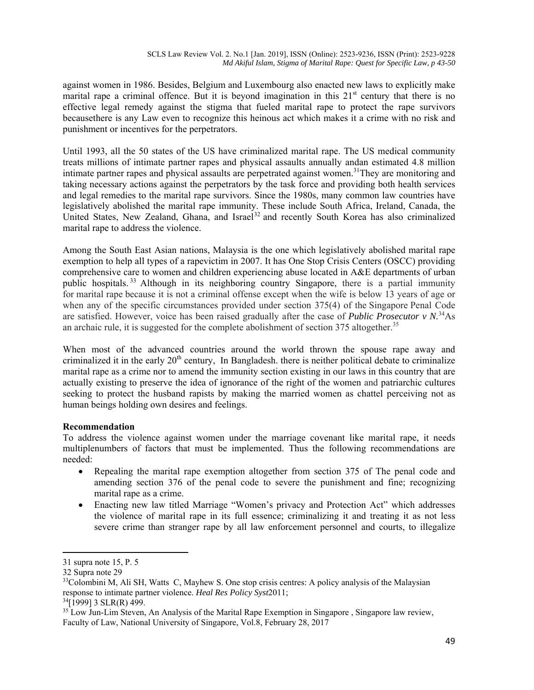against women in 1986. Besides, Belgium and Luxembourg also enacted new laws to explicitly make marital rape a criminal offence. But it is beyond imagination in this  $21<sup>st</sup>$  century that there is no effective legal remedy against the stigma that fueled marital rape to protect the rape survivors becausethere is any Law even to recognize this heinous act which makes it a crime with no risk and punishment or incentives for the perpetrators.

Until 1993, all the 50 states of the US have criminalized marital rape. The US medical community treats millions of intimate partner rapes and physical assaults annually andan estimated 4.8 million intimate partner rapes and physical assaults are perpetrated against women.<sup>31</sup>They are monitoring and taking necessary actions against the perpetrators by the task force and providing both health services and legal remedies to the marital rape survivors. Since the 1980s, many common law countries have legislatively abolished the marital rape immunity. These include South Africa, Ireland, Canada, the United States, New Zealand, Ghana, and Israel<sup>32</sup> and recently South Korea has also criminalized marital rape to address the violence.

Among the South East Asian nations, Malaysia is the one which legislatively abolished marital rape exemption to help all types of a rapevictim in 2007. It has One Stop Crisis Centers (OSCC) providing comprehensive care to women and children experiencing abuse located in A&E departments of urban public hospitals.<sup>33</sup> Although in its neighboring country Singapore, there is a partial immunity for marital rape because it is not a criminal offense except when the wife is below 13 years of age or when any of the specific circumstances provided under section 375(4) of the Singapore Penal Code are satisfied. However, voice has been raised gradually after the case of *Public Prosecutor v N.*34As an archaic rule, it is suggested for the complete abolishment of section 375 altogether.<sup>35</sup>

When most of the advanced countries around the world thrown the spouse rape away and criminalized it in the early  $20<sup>th</sup>$  century. In Bangladesh, there is neither political debate to criminalize marital rape as a crime nor to amend the immunity section existing in our laws in this country that are actually existing to preserve the idea of ignorance of the right of the women and patriarchic cultures seeking to protect the husband rapists by making the married women as chattel perceiving not as human beings holding own desires and feelings.

# **Recommendation**

To address the violence against women under the marriage covenant like marital rape, it needs multiplenumbers of factors that must be implemented. Thus the following recommendations are needed:

- Repealing the marital rape exemption altogether from section 375 of The penal code and amending section 376 of the penal code to severe the punishment and fine; recognizing marital rape as a crime.
- Enacting new law titled Marriage "Women's privacy and Protection Act" which addresses the violence of marital rape in its full essence; criminalizing it and treating it as not less severe crime than stranger rape by all law enforcement personnel and courts, to illegalize

<sup>31</sup> supra note 15, P. 5

<sup>32</sup> Supra note 29

<sup>&</sup>lt;sup>33</sup>Colombini M, Ali SH, Watts C, Mayhew S. One stop crisis centres: A policy analysis of the Malaysian response to intimate partner violence. *Heal Res Policy Syst*2011; 34[1999] 3 SLR(R) 499.

<sup>&</sup>lt;sup>35</sup> Low Jun-Lim Steven, An Analysis of the Marital Rape Exemption in Singapore , Singapore law review, Faculty of Law, National University of Singapore, Vol.8, February 28, 2017